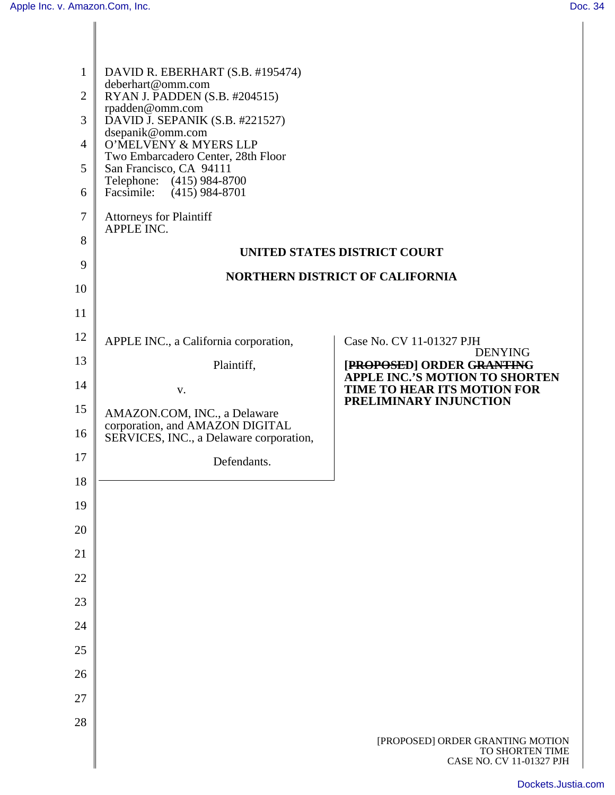| $\mathbf{1}$<br>$\overline{2}$<br>3<br>$\overline{4}$<br>5<br>6<br>7<br>8 | DAVID R. EBERHART (S.B. #195474)<br>deberhart@omm.com<br>RYAN J. PADDEN (S.B. #204515)<br>rpadden@omm.com<br>DAVID J. SEPANIK (S.B. #221527)<br>dsepanik@omm.com<br>O'MELVENY & MYERS LLP<br>Two Embarcadero Center, 28th Floor<br>San Francisco, CA 94111<br>Telephone: (415) 984-8700<br>$(415)$ 984-8701<br>Facsimile:<br><b>Attorneys for Plaintiff</b><br>APPLE INC. | UNITED STATES DISTRICT COURT                                                    |
|---------------------------------------------------------------------------|---------------------------------------------------------------------------------------------------------------------------------------------------------------------------------------------------------------------------------------------------------------------------------------------------------------------------------------------------------------------------|---------------------------------------------------------------------------------|
| 9                                                                         | <b>NORTHERN DISTRICT OF CALIFORNIA</b>                                                                                                                                                                                                                                                                                                                                    |                                                                                 |
| 10                                                                        |                                                                                                                                                                                                                                                                                                                                                                           |                                                                                 |
| 11                                                                        |                                                                                                                                                                                                                                                                                                                                                                           |                                                                                 |
| 12                                                                        | APPLE INC., a California corporation,                                                                                                                                                                                                                                                                                                                                     | Case No. CV 11-01327 PJH<br><b>DENYING</b>                                      |
| 13                                                                        | Plaintiff,                                                                                                                                                                                                                                                                                                                                                                | [PROPOSED] ORDER GRANTING<br><b>APPLE INC.'S MOTION TO SHORTEN</b>              |
| 14                                                                        | V.                                                                                                                                                                                                                                                                                                                                                                        | TIME TO HEAR ITS MOTION FOR<br>PRELIMINARY INJUNCTION                           |
| 15                                                                        | AMAZON.COM, INC., a Delaware<br>corporation, and AMAZON DIGITAL                                                                                                                                                                                                                                                                                                           |                                                                                 |
| 16                                                                        | SERVICES, INC., a Delaware corporation,                                                                                                                                                                                                                                                                                                                                   |                                                                                 |
| 17                                                                        | Defendants.                                                                                                                                                                                                                                                                                                                                                               |                                                                                 |
| 18                                                                        |                                                                                                                                                                                                                                                                                                                                                                           |                                                                                 |
| 19                                                                        |                                                                                                                                                                                                                                                                                                                                                                           |                                                                                 |
| 20                                                                        |                                                                                                                                                                                                                                                                                                                                                                           |                                                                                 |
| 21                                                                        |                                                                                                                                                                                                                                                                                                                                                                           |                                                                                 |
| 22                                                                        |                                                                                                                                                                                                                                                                                                                                                                           |                                                                                 |
| 23                                                                        |                                                                                                                                                                                                                                                                                                                                                                           |                                                                                 |
| 24                                                                        |                                                                                                                                                                                                                                                                                                                                                                           |                                                                                 |
| 25                                                                        |                                                                                                                                                                                                                                                                                                                                                                           |                                                                                 |
| 26                                                                        |                                                                                                                                                                                                                                                                                                                                                                           |                                                                                 |
| 27                                                                        |                                                                                                                                                                                                                                                                                                                                                                           |                                                                                 |
| 28                                                                        |                                                                                                                                                                                                                                                                                                                                                                           | [PROPOSED] ORDER GRANTING MOTION<br>TO SHORTEN TIME<br>CASE NO. CV 11-01327 PJH |